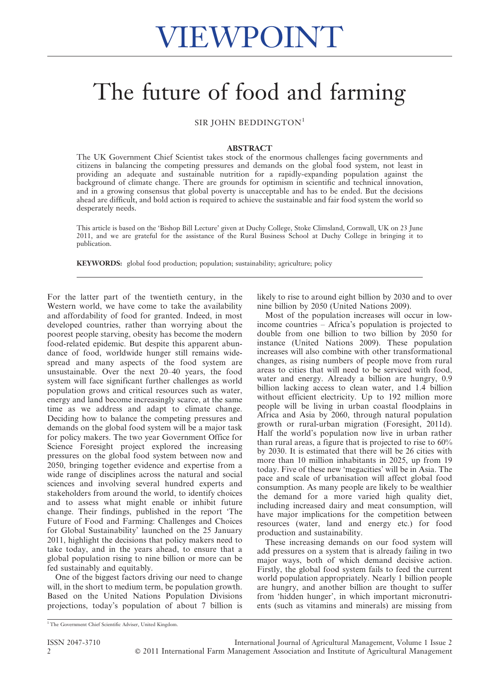## The future of food and farming

SIR JOHN BEDDINGTON<sup>1</sup>

## ABSTRACT

The UK Government Chief Scientist takes stock of the enormous challenges facing governments and citizens in balancing the competing pressures and demands on the global food system, not least in providing an adequate and sustainable nutrition for a rapidly-expanding population against the background of climate change. There are grounds for optimism in scientific and technical innovation, and in a growing consensus that global poverty is unacceptable and has to be ended. But the decisions ahead are difficult, and bold action is required to achieve the sustainable and fair food system the world so desperately needs.

This article is based on the 'Bishop Bill Lecture' given at Duchy College, Stoke Climsland, Cornwall, UK on 23 June 2011, and we are grateful for the assistance of the Rural Business School at Duchy College in bringing it to publication.

KEYWORDS: global food production; population; sustainability; agriculture; policy

For the latter part of the twentieth century, in the Western world, we have come to take the availability and affordability of food for granted. Indeed, in most developed countries, rather than worrying about the poorest people starving, obesity has become the modern food-related epidemic. But despite this apparent abundance of food, worldwide hunger still remains widespread and many aspects of the food system are unsustainable. Over the next 20–40 years, the food system will face significant further challenges as world population grows and critical resources such as water, energy and land become increasingly scarce, at the same time as we address and adapt to climate change. Deciding how to balance the competing pressures and demands on the global food system will be a major task for policy makers. The two year Government Office for Science Foresight project explored the increasing pressures on the global food system between now and 2050, bringing together evidence and expertise from a wide range of disciplines across the natural and social sciences and involving several hundred experts and stakeholders from around the world, to identify choices and to assess what might enable or inhibit future change. Their findings, published in the report 'The Future of Food and Farming: Challenges and Choices for Global Sustainability' launched on the 25 January 2011, highlight the decisions that policy makers need to take today, and in the years ahead, to ensure that a global population rising to nine billion or more can be fed sustainably and equitably.

One of the biggest factors driving our need to change will, in the short to medium term, be population growth. Based on the United Nations Population Divisions projections, today's population of about 7 billion is likely to rise to around eight billion by 2030 and to over nine billion by 2050 (United Nations 2009).

Most of the population increases will occur in lowincome countries – Africa's population is projected to double from one billion to two billion by 2050 for instance (United Nations 2009). These population increases will also combine with other transformational changes, as rising numbers of people move from rural areas to cities that will need to be serviced with food, water and energy. Already a billion are hungry, 0.9 billion lacking access to clean water, and 1.4 billion without efficient electricity. Up to 192 million more people will be living in urban coastal floodplains in Africa and Asia by 2060, through natural population growth or rural-urban migration (Foresight, 2011d). Half the world's population now live in urban rather than rural areas, a figure that is projected to rise to 60% by 2030. It is estimated that there will be 26 cities with more than 10 million inhabitants in 2025, up from 19 today. Five of these new 'megacities' will be in Asia. The pace and scale of urbanisation will affect global food consumption. As many people are likely to be wealthier the demand for a more varied high quality diet, including increased dairy and meat consumption, will have major implications for the competition between resources (water, land and energy etc.) for food production and sustainability.

These increasing demands on our food system will add pressures on a system that is already failing in two major ways, both of which demand decisive action. Firstly, the global food system fails to feed the current world population appropriately. Nearly 1 billion people are hungry, and another billion are thought to suffer from 'hidden hunger', in which important micronutrients (such as vitamins and minerals) are missing from

<sup>&</sup>lt;sup>1</sup> The Government Chief Scientific Adviser, United Kingdom.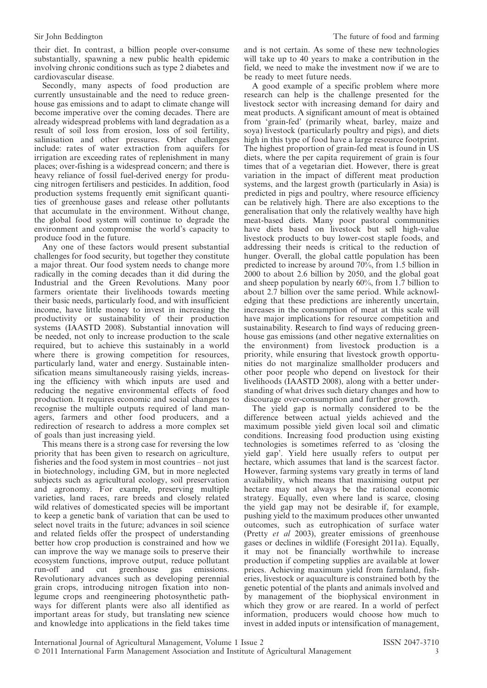their diet. In contrast, a billion people over-consume substantially, spawning a new public health epidemic involving chronic conditions such as type 2 diabetes and cardiovascular disease.

Secondly, many aspects of food production are currently unsustainable and the need to reduce greenhouse gas emissions and to adapt to climate change will become imperative over the coming decades. There are already widespread problems with land degradation as a result of soil loss from erosion, loss of soil fertility, salinisation and other pressures. Other challenges include: rates of water extraction from aquifers for irrigation are exceeding rates of replenishment in many places; over-fishing is a widespread concern; and there is heavy reliance of fossil fuel-derived energy for producing nitrogen fertilisers and pesticides. In addition, food production systems frequently emit significant quantities of greenhouse gases and release other pollutants that accumulate in the environment. Without change, the global food system will continue to degrade the environment and compromise the world's capacity to produce food in the future.

Any one of these factors would present substantial challenges for food security, but together they constitute a major threat. Our food system needs to change more radically in the coming decades than it did during the Industrial and the Green Revolutions. Many poor farmers orientate their livelihoods towards meeting their basic needs, particularly food, and with insufficient income, have little money to invest in increasing the productivity or sustainability of their production systems (IAASTD 2008). Substantial innovation will be needed, not only to increase production to the scale required, but to achieve this sustainably in a world where there is growing competition for resources, particularly land, water and energy. Sustainable intensification means simultaneously raising yields, increasing the efficiency with which inputs are used and reducing the negative environmental effects of food production. It requires economic and social changes to recognise the multiple outputs required of land managers, farmers and other food producers, and a redirection of research to address a more complex set of goals than just increasing yield.

This means there is a strong case for reversing the low priority that has been given to research on agriculture, fisheries and the food system in most countries – not just in biotechnology, including GM, but in more neglected subjects such as agricultural ecology, soil preservation and agronomy. For example, preserving multiple varieties, land races, rare breeds and closely related wild relatives of domesticated species will be important to keep a genetic bank of variation that can be used to select novel traits in the future; advances in soil science and related fields offer the prospect of understanding better how crop production is constrained and how we can improve the way we manage soils to preserve their ecosystem functions, improve output, reduce pollutant<br>run-off and cut greenhouse gas emissions. and cut greenhouse gas emissions. Revolutionary advances such as developing perennial grain crops, introducing nitrogen fixation into nonlegume crops and reengineering photosynthetic pathways for different plants were also all identified as important areas for study, but translating new science and knowledge into applications in the field takes time

and is not certain. As some of these new technologies will take up to 40 years to make a contribution in the field, we need to make the investment now if we are to be ready to meet future needs.

A good example of a specific problem where more research can help is the challenge presented for the livestock sector with increasing demand for dairy and meat products. A significant amount of meat is obtained from 'grain-fed' (primarily wheat, barley, maize and soya) livestock (particularly poultry and pigs), and diets high in this type of food have a large resource footprint. The highest proportion of grain-fed meat is found in US diets, where the per capita requirement of grain is four times that of a vegetarian diet. However, there is great variation in the impact of different meat production systems, and the largest growth (particularly in Asia) is predicted in pigs and poultry, where resource efficiency can be relatively high. There are also exceptions to the generalisation that only the relatively wealthy have high meat-based diets. Many poor pastoral communities have diets based on livestock but sell high-value livestock products to buy lower-cost staple foods, and addressing their needs is critical to the reduction of hunger. Overall, the global cattle population has been predicted to increase by around 70%, from 1.5 billion in 2000 to about 2.6 billion by 2050, and the global goat and sheep population by nearly 60%, from 1.7 billion to about 2.7 billion over the same period. While acknowledging that these predictions are inherently uncertain, increases in the consumption of meat at this scale will have major implications for resource competition and sustainability. Research to find ways of reducing greenhouse gas emissions (and other negative externalities on the environment) from livestock production is a priority, while ensuring that livestock growth opportunities do not marginalize smallholder producers and other poor people who depend on livestock for their livelihoods (IAASTD 2008), along with a better understanding of what drives such dietary changes and how to discourage over-consumption and further growth.

The yield gap is normally considered to be the difference between actual yields achieved and the maximum possible yield given local soil and climatic conditions. Increasing food production using existing technologies is sometimes referred to as 'closing the yield gap'. Yield here usually refers to output per hectare, which assumes that land is the scarcest factor. However, farming systems vary greatly in terms of land availability, which means that maximising output per hectare may not always be the rational economic strategy. Equally, even where land is scarce, closing the yield gap may not be desirable if, for example, pushing yield to the maximum produces other unwanted outcomes, such as eutrophication of surface water (Pretty et al 2003), greater emissions of greenhouse gases or declines in wildlife (Foresight 2011a). Equally, it may not be financially worthwhile to increase production if competing supplies are available at lower prices. Achieving maximum yield from farmland, fisheries, livestock or aquaculture is constrained both by the genetic potential of the plants and animals involved and by management of the biophysical environment in which they grow or are reared. In a world of perfect information, producers would choose how much to invest in added inputs or intensification of management,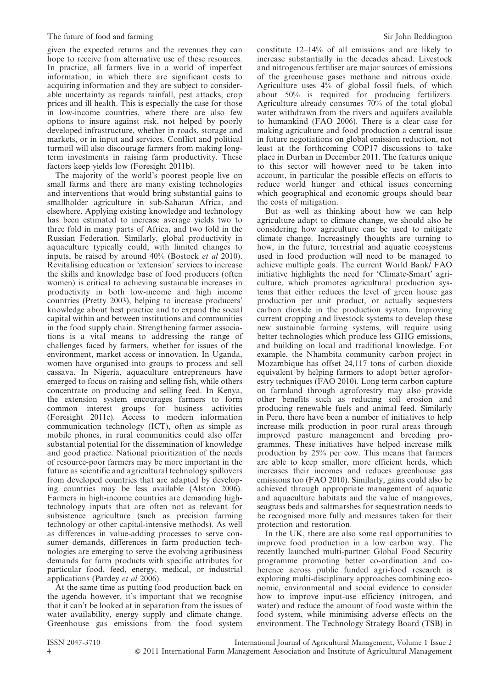given the expected returns and the revenues they can hope to receive from alternative use of these resources. In practice, all farmers live in a world of imperfect information, in which there are significant costs to acquiring information and they are subject to considerable uncertainty as regards rainfall, pest attacks, crop prices and ill health. This is especially the case for those in low-income countries, where there are also few options to insure against risk, not helped by poorly developed infrastructure, whether in roads, storage and markets, or in input and services. Conflict and political turmoil will also discourage farmers from making longterm investments in raising farm productivity. These factors keep yields low (Foresight 2011b).

The majority of the world's poorest people live on small farms and there are many existing technologies and interventions that would bring substantial gains to smallholder agriculture in sub-Saharan Africa, and elsewhere. Applying existing knowledge and technology has been estimated to increase average yields two to three fold in many parts of Africa, and two fold in the Russian Federation. Similarly, global productivity in aquaculture typically could, with limited changes to inputs, be raised by around 40% (Bostock et al 2010). Revitalising education or 'extension' services to increase the skills and knowledge base of food producers (often women) is critical to achieving sustainable increases in productivity in both low-income and high income countries (Pretty 2003), helping to increase producers' knowledge about best practice and to expand the social capital within and between institutions and communities in the food supply chain. Strengthening farmer associations is a vital means to addressing the range of challenges faced by farmers, whether for issues of the environment, market access or innovation. In Uganda, women have organised into groups to process and sell cassava. In Nigeria, aquaculture entrepreneurs have emerged to focus on raising and selling fish, while others concentrate on producing and selling feed. In Kenya, the extension system encourages farmers to form common interest groups for business activities (Foresight 2011c). Access to modern information communication technology (ICT), often as simple as mobile phones, in rural communities could also offer substantial potential for the dissemination of knowledge and good practice. National prioritization of the needs of resource-poor farmers may be more important in the future as scientific and agricultural technology spillovers from developed countries that are adapted by developing countries may be less available (Alston 2006). Farmers in high-income countries are demanding hightechnology inputs that are often not as relevant for subsistence agriculture (such as precision farming technology or other capital-intensive methods). As well as differences in value-adding processes to serve consumer demands, differences in farm production technologies are emerging to serve the evolving agribusiness demands for farm products with specific attributes for particular food, feed, energy, medical, or industrial applications (Pardey et al 2006).

At the same time as putting food production back on the agenda however, it's important that we recognise that it can't be looked at in separation from the issues of water availability, energy supply and climate change. Greenhouse gas emissions from the food system constitute 12–14% of all emissions and are likely to increase substantially in the decades ahead. Livestock and nitrogenous fertiliser are major sources of emissions of the greenhouse gases methane and nitrous oxide. Agriculture uses 4% of global fossil fuels, of which about 50% is required for producing fertilizers. Agriculture already consumes 70% of the total global water withdrawn from the rivers and aquifers available to humankind (FAO 2006). There is a clear case for making agriculture and food production a central issue in future negotiations on global emission reduction, not least at the forthcoming COP17 discussions to take place in Durban in December 2011. The features unique to this sector will however need to be taken into account, in particular the possible effects on efforts to reduce world hunger and ethical issues concerning which geographical and economic groups should bear the costs of mitigation.

But as well as thinking about how we can help agriculture adapt to climate change, we should also be considering how agriculture can be used to mitigate climate change. Increasingly thoughts are turning to how, in the future, terrestrial and aquatic ecosystems used in food production will need to be managed to achieve multiple goals. The current World Bank/ FAO initiative highlights the need for 'Climate-Smart' agriculture, which promotes agricultural production systems that either reduces the level of green house gas production per unit product, or actually sequesters carbon dioxide in the production system. Improving current cropping and livestock systems to develop these new sustainable farming systems, will require using better technologies which produce less GHG emissions, and building on local and traditional knowledge. For example, the Nhambita community carbon project in Mozambique has offset 24,117 tons of carbon dioxide equivalent by helping farmers to adopt better agroforestry techniques (FAO 2010). Long term carbon capture on farmland through agroforestry may also provide other benefits such as reducing soil erosion and producing renewable fuels and animal feed. Similarly in Peru, there have been a number of initiatives to help increase milk production in poor rural areas through improved pasture management and breeding programmes. These initiatives have helped increase milk production by 25% per cow. This means that farmers are able to keep smaller, more efficient herds, which increases their incomes and reduces greenhouse gas emissions too (FAO 2010). Similarly, gains could also be achieved through appropriate management of aquatic and aquaculture habitats and the value of mangroves, seagrass beds and saltmarshes for sequestration needs to be recognised more fully and measures taken for their protection and restoration.

In the UK, there are also some real opportunities to improve food production in a low carbon way. The recently launched multi-partner Global Food Security programme promoting better co-ordination and coherence across public funded agri-food research is exploring multi-disciplinary approaches combining economic, environmental and social evidence to consider how to improve input-use efficiency (nitrogen, and water) and reduce the amount of food waste within the food system, while minimising adverse effects on the environment. The Technology Strategy Board (TSB) in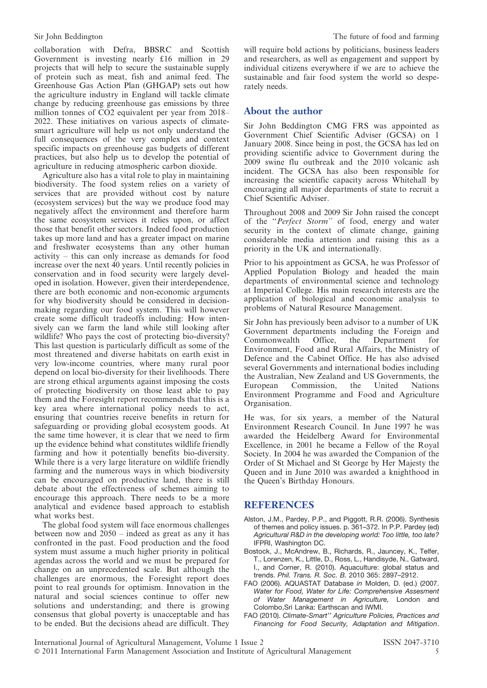collaboration with Defra, BBSRC and Scottish Government is investing nearly £16 million in 29 projects that will help to secure the sustainable supply of protein such as meat, fish and animal feed. The Greenhouse Gas Action Plan (GHGAP) sets out how the agriculture industry in England will tackle climate change by reducing greenhouse gas emissions by three million tonnes of CO2 equivalent per year from 2018– 2022. These initiatives on various aspects of climatesmart agriculture will help us not only understand the full consequences of the very complex and context specific impacts on greenhouse gas budgets of different practices, but also help us to develop the potential of agriculture in reducing atmospheric carbon dioxide.

Agriculture also has a vital role to play in maintaining biodiversity. The food system relies on a variety of services that are provided without cost by nature (ecosystem services) but the way we produce food may negatively affect the environment and therefore harm the same ecosystem services it relies upon, or affect those that benefit other sectors. Indeed food production takes up more land and has a greater impact on marine and freshwater ecosystems than any other human activity – this can only increase as demands for food increase over the next 40 years. Until recently policies in conservation and in food security were largely developed in isolation. However, given their interdependence, there are both economic and non-economic arguments for why biodiversity should be considered in decisionmaking regarding our food system. This will however create some difficult tradeoffs including: How intensively can we farm the land while still looking after wildlife? Who pays the cost of protecting bio-diversity? This last question is particularly difficult as some of the most threatened and diverse habitats on earth exist in very low-income countries, where many rural poor depend on local bio-diversity for their livelihoods. There are strong ethical arguments against imposing the costs of protecting biodiversity on those least able to pay them and the Foresight report recommends that this is a key area where international policy needs to act, ensuring that countries receive benefits in return for safeguarding or providing global ecosystem goods. At the same time however, it is clear that we need to firm up the evidence behind what constitutes wildlife friendly farming and how it potentially benefits bio-diversity. While there is a very large literature on wildlife friendly farming and the numerous ways in which biodiversity can be encouraged on productive land, there is still debate about the effectiveness of schemes aiming to encourage this approach. There needs to be a more analytical and evidence based approach to establish what works best.

The global food system will face enormous challenges between now and 2050 – indeed as great as any it has confronted in the past. Food production and the food system must assume a much higher priority in political agendas across the world and we must be prepared for change on an unprecedented scale. But although the challenges are enormous, the Foresight report does point to real grounds for optimism. Innovation in the natural and social sciences continue to offer new solutions and understanding; and there is growing consensus that global poverty is unacceptable and has to be ended. But the decisions ahead are difficult. They will require bold actions by politicians, business leaders and researchers, as well as engagement and support by individual citizens everywhere if we are to achieve the sustainable and fair food system the world so desperately needs.

## About the author

Sir John Beddington CMG FRS was appointed as Government Chief Scientific Adviser (GCSA) on 1 January 2008. Since being in post, the GCSA has led on providing scientific advice to Government during the 2009 swine flu outbreak and the 2010 volcanic ash incident. The GCSA has also been responsible for increasing the scientific capacity across Whitehall by encouraging all major departments of state to recruit a Chief Scientific Adviser.

Throughout 2008 and 2009 Sir John raised the concept of the ''Perfect Storm'' of food, energy and water security in the context of climate change, gaining considerable media attention and raising this as a priority in the UK and internationally.

Prior to his appointment as GCSA, he was Professor of Applied Population Biology and headed the main departments of environmental science and technology at Imperial College. His main research interests are the application of biological and economic analysis to problems of Natural Resource Management.

Sir John has previously been advisor to a number of UK Government departments including the Foreign and<br>Commonwealth Office, the Department for Commonwealth Office, the Department for Environment, Food and Rural Affairs, the Ministry of Defence and the Cabinet Office. He has also advised several Governments and international bodies including the Australian, New Zealand and US Governments, the European Commission, the United Nations Environment Programme and Food and Agriculture Organisation.

He was, for six years, a member of the Natural Environment Research Council. In June 1997 he was awarded the Heidelberg Award for Environmental Excellence, in 2001 he became a Fellow of the Royal Society. In 2004 he was awarded the Companion of the Order of St Michael and St George by Her Majesty the Queen and in June 2010 was awarded a knighthood in the Queen's Birthday Honours.

## **REFERENCES**

- Alston, J.M., Pardey, P.P., and Piggott, R.R. (2006). Synthesis of themes and policy issues. p. 361–372. In P.P. Pardey (ed) Agricultural R&D in the developing world: Too little, too late? IFPRI, Washington DC.
- Bostock, J., McAndrew, B., Richards, R., Jauncey, K., Telfer, T., Lorenzen, K., Little, D., Ross, L., Handisyde, N., Gatward, I., and Corner, R. (2010). Aquaculture: global status and trends. Phil. Trans. R. Soc. B. 2010 365: 2897–2912.
- FAO (2006). AQUASTAT Database in Molden, D. (ed.) (2007. Water for Food, Water for Life: Comprehensive Assesment of Water Management in Agriculture, London and Colombo,Sri Lanka: Earthscan and IWMI.
- FAO (2010). Climate-Smart'' Agriculture Policies, Practices and Financing for Food Security, Adaptation and Mitigation.